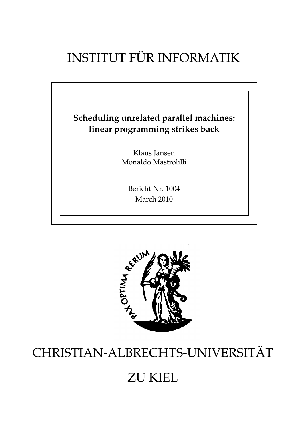# INSTITUT FÜR INFORMATIK





## CHRISTIAN-ALBRECHTS-UNIVERSITAT¨

## ZU KIEL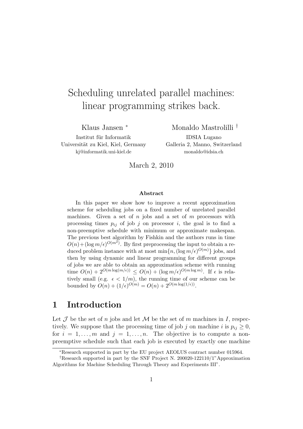## Scheduling unrelated parallel machines: linear programming strikes back.

Klaus Jansen <sup>∗</sup>

Institut für Informatik Universität zu Kiel, Kiel, Germany kj@informatik.uni-kiel.de

Monaldo Mastrolilli † IDSIA Lugano Galleria 2, Manno, Switzerland monaldo@idsia.ch

March 2, 2010

#### Abstract

In this paper we show how to improve a recent approximation scheme for scheduling jobs on a fixed number of unrelated parallel machines. Given a set of  $n$  jobs and a set of  $m$  processors with processing times  $p_{ij}$  of job j on processor i, the goal is to find a non-preemptive schedule with minimum or approximate makespan. The previous best algorithm by Fishkin and the authors runs in time  $O(n) + (\log m/\epsilon)^{O(m^2)}$ . By first preprocessing the input to obtain a reduced problem instance with at most  $\min\{n, (\log m/\epsilon)^{O(m)}\}\$  jobs, and then by using dynamic and linear programming for different groups of jobs we are able to obtain an approximation scheme with running time  $O(n) + 2^{O(m \log(m/\epsilon))} \leq O(n) + (\log m/\epsilon)^{O(m \log m)}$ . If  $\epsilon$  is relatively small (e.g.  $\epsilon < 1/m$ ), the running time of our scheme can be bounded by  $O(n) + (1/\epsilon)^{O(m)} = O(n) + 2^{O(m \log(1/\epsilon))}$ .

### 1 Introduction

Let  $\mathcal J$  be the set of n jobs and let  $\mathcal M$  be the set of m machines in I, respectively. We suppose that the processing time of job j on machine i is  $p_{ij} \geq 0$ , for  $i = 1, \ldots, m$  and  $j = 1, \ldots, n$ . The objective is to compute a nonpreemptive schedule such that each job is executed by exactly one machine

<sup>∗</sup>Research supported in part by the EU project AEOLUS contract number 015964.

<sup>†</sup>Research supported in part by the SNF Project N. 200020-122110/1"Approximation Algorithms for Machine Scheduling Through Theory and Experiments III".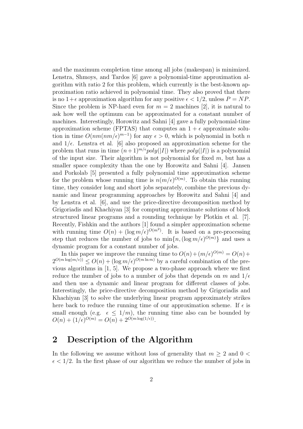and the maximum completion time among all jobs (makespan) is minimized. Lenstra, Shmoys, and Tardos [6] gave a polynomial-time approximation algorithm with ratio 2 for this problem, which currently is the best-known approximation ratio achieved in polynomial time. They also proved that there is no  $1+\epsilon$  approximation algorithm for any positive  $\epsilon < 1/2$ , unless  $P = NP$ . Since the problem is NP-hard even for  $m = 2$  machines [2], it is natural to ask how well the optimum can be approximated for a constant number of machines. Interestingly, Horowitz and Sahni [4] gave a fully polynomial-time approximation scheme (FPTAS) that computes an  $1 + \epsilon$  approximate solution in time  $O(nm(nm/\epsilon)^{m-1})$  for any  $\epsilon > 0$ , which is polynomial in both n and  $1/\epsilon$ . Lenstra et al. [6] also proposed an approximation scheme for the problem that runs in time  $(n+1)^{m/\epsilon}poly(|I|)$  where  $poly(|I|)$  is a polynomial of the input size. Their algorithm is not polynomial for fixed  $m$ , but has a smaller space complexity than the one by Horowitz and Sahni [4]. Jansen and Porkolab [5] presented a fully polynomial time approximation scheme for the problem whose running time is  $n(m/\epsilon)^{O(m)}$ . To obtain this running time, they consider long and short jobs separately, combine the previous dynamic and linear programming approaches by Horowitz and Sahni [4] and by Lenstra et al. [6], and use the price-directive decomposition method by Grigoriadis and Khachiyan [3] for computing approximate solutions of block structured linear programs and a rounding technique by Plotkin et al. [7]. Recently, Fishkin and the authors [1] found a simpler approximation scheme with running time  $O(n) + (\log m/\epsilon)^{O(m^2)}$ . It is based on a pre-processing step that reduces the number of jobs to  $\min\{n, (\log m/\epsilon)^{O(m)}\}\$  and uses a dynamic program for a constant number of jobs.

In this paper we improve the running time to  $O(n) + (m/\epsilon)^{O(m)} = O(n) +$  $2^{O(m \log(m/\epsilon))} \leq O(n) + (\log m/\epsilon)^{O(m \ln m)}$  by a careful combination of the previous algorithms in [1, 5]. We propose a two-phase approach where we first reduce the number of jobs to a number of jobs that depends on m and  $1/\epsilon$ and then use a dynamic and linear program for different classes of jobs. Interestingly, the price-directive decomposition method by Grigoriadis and Khachiyan [3] to solve the underlying linear program approximately strikes here back to reduce the running time of our approximation scheme. If  $\epsilon$  is small enough (e.g.  $\epsilon \leq 1/m$ ), the running time also can be bounded by  $O(n) + (1/\epsilon)^{O(m)} = O(n) + 2^{O(m \log(1/\epsilon))}.$ 

### 2 Description of the Algorithm

In the following we assume without loss of generality that  $m > 2$  and  $0 <$  $\epsilon < 1/2$ . In the first phase of our algorithm we reduce the number of jobs in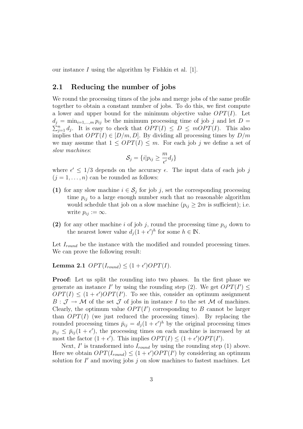our instance I using the algorithm by Fishkin et al. [1].

#### 2.1 Reducing the number of jobs

We round the processing times of the jobs and merge jobs of the same profile together to obtain a constant number of jobs. To do this, we first compute a lower and upper bound for the minimum objective value  $OPT(I)$ . Let  $d_j = \min_{i=1,\dots,m} p_{ij}$  be the minimum processing time of job j and let  $D =$  $\sum_{j=1}^n d_j$ . It is easy to check that  $OPT(I) \leq D \leq mOPT(I)$ . This also implies that  $OPT(I) \in [D/m, D]$ . By dividing all processing times by  $D/m$ we may assume that  $1 \leq OPT(I) \leq m$ . For each job j we define a set of slow machines:

$$
\mathcal{S}_j = \{i|p_{ij} \ge \frac{m}{\epsilon'}d_j\}
$$

where  $\epsilon' \leq 1/3$  depends on the accuracy  $\epsilon$ . The input data of each job j  $(j = 1, \ldots, n)$  can be rounded as follows:

- (1) for any slow machine  $i \in \mathcal{S}_j$  for job j, set the corresponding processing time  $p_{ij}$  to a large enough number such that no reasonable algorithm would schedule that job on a slow machine ( $p_{ij} \geq 2m$  is sufficient); i.e. write  $p_{ij} := \infty$ .
- (2) for any other machine i of job j, round the processing time  $p_{ij}$  down to the nearest lower value  $d_j(1+\epsilon')^h$  for some  $h \in \mathbb{N}$ .

Let  $I_{round}$  be the instance with the modified and rounded processing times. We can prove the following result:

Lemma 2.1  $OPT(I_{round}) \leq (1+\epsilon')OPT(I)$ .

Proof: Let us split the rounding into two phases. In the first phase we generate an instance I' by using the rounding step (2). We get  $OPT(I') \leq$  $OPT(I) \leq (1+\epsilon')OPT(I')$ . To see this, consider an optimum assignment  $B: \mathcal{J} \to \mathcal{M}$  of the set  $\mathcal{J}$  of jobs in instance I to the set  $\mathcal{M}$  of machines. Clearly, the optimum value  $OPT(I')$  corresponding to B cannot be larger than  $OPT(I)$  (we just reduced the processing times). By replacing the rounded processing times  $\bar{p}_{ij} = d_j (1 + \epsilon')^h$  by the original processing times  $p_{ij} \leq \bar{p}_{ij}(1+\epsilon')$ , the processing times on each machine is increased by at most the factor  $(1 + \epsilon')$ . This implies  $OPT(I) \leq (1 + \epsilon')OPT(I')$ .

Next,  $I'$  is transformed into  $I_{round}$  by using the rounding step (1) above. Here we obtain  $OPT(I_{round}) \leq (1+\epsilon')OPT(I')$  by considering an optimum solution for  $I'$  and moving jobs  $j$  on slow machines to fastest machines. Let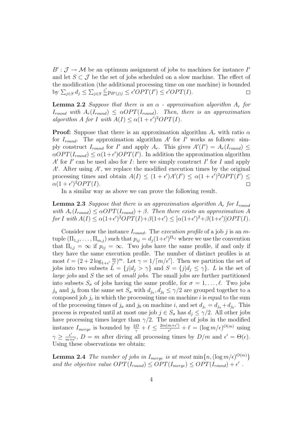$B':\mathcal{J}\to\mathcal{M}$  be an optimum assignment of jobs to machines for instance I' and let  $S \subset \mathcal{J}$  be the set of jobs scheduled on a slow machine. The effect of the modification (the additional processing time on one machine) is bounded by  $\sum_{j \in S} d_j \leq \sum_{j \in S} \frac{\epsilon'}{m}$  $\frac{\epsilon'}{m} p_{B'(j)j} \leq \epsilon' OPT(I') \leq \epsilon' OPT(I).$  $\Box$ 

**Lemma 2.2** Suppose that there is an  $\alpha$  - approximation algorithm  $A_r$  for  $I_{round}$  with  $A_r(I_{round}) \leq \alpha OPT(I_{round})$ . Then, there is an approximation algorithm A for I with  $A(I) \leq \alpha(1+\epsilon')^2 OPT(I)$ .

**Proof:** Suppose that there is an approximation algorithm  $A_r$  with ratio  $\alpha$ for  $I_{round}$ . The approximation algorithm  $A'$  for  $I'$  works as follows: simply construct  $I_{round}$  for  $I'$  and apply  $A_r$ . This gives  $A'(I') = A_r(I_{round}) \leq$  $\alpha OPT(I_{round}) \leq \alpha(1+\epsilon') OPT(I')$ . In addition the approximation algorithm  $A'$  for  $I'$  can be used also for  $I$ : here we simply construct  $I'$  for  $I$  and apply A'. After using A', we replace the modified execution times by the original processing times and obtain  $A(I) \leq (1 + \epsilon')A'(I') \leq \alpha(1 + \epsilon')^2 OPT(I') \leq$  $\alpha(1+\epsilon')^2 OPT(I).$  $\Box$ 

In a similar way as above we can prove the following result.

**Lemma 2.3** Suppose that there is an approximation algorithm  $A_r$  for  $I_{round}$ with  $A_r(I_{round}) \leq \alpha OPT(I_{round}) + \beta$ . Then there exists an approximation A for I with  $A(I) \le \alpha(1+\epsilon')^2 OPT(I) + \beta(1+\epsilon') \le [\alpha(1+\epsilon')^2 + \beta(1+\epsilon')]OPT(I)$ .

Consider now the instance  $I_{round}$ . The execution profile of a job j is an mtuple  $(\Pi_{1,j},\ldots,\Pi_{m,j})$  such that  $p_{ij}=d_j(1+\epsilon')^{\Pi_{ij}}$  where we use the convention that  $\Pi_{i,j} = \infty$  if  $p_{ij} = \infty$ . Two jobs have the same profile, if and only if they have the same execution profile. The number of distinct profiles is at most  $\ell = (2 + 2 \log_{1+\epsilon'} \frac{m}{\epsilon'})$  $(\frac{m}{\epsilon'})^m$ . Let  $\gamma = 1/\lceil m/\epsilon' \rceil$ . Then we partition the set of jobs into two subsets  $L = \{j | d_j > \gamma\}$  and  $S = \{j | d_j \leq \gamma\}$ . L is the set of large jobs and S the set of *small jobs*. The small jobs are further partitioned into subsets  $S_{\sigma}$  of jobs having the same profile, for  $\sigma = 1, \ldots, \ell$ . Two jobs  $j_a$  and  $j_b$  from the same set  $S_{\sigma}$  with  $d_{j_a}, d_{j_b} \leq \gamma/2$  are grouped together to a composed job  $j_c$  in which the processing time on machine i is equal to the sum of the processing times of  $j_a$  and  $j_b$  on machine i, and set  $d_{j_c} = d_{j_a} + d_{j_b}$ . This process is repeated until at most one job  $j \in S_{\sigma}$  has  $d_j \leq \gamma/2$ . All other jobs have processing times larger than  $\gamma/2$ . The number of jobs in the modified instance  $I_{merge}$  is bounded by  $\frac{2D}{\gamma} + \ell \leq \frac{2m(m+\epsilon')}{\epsilon'}$  $\frac{m+\epsilon'}{\epsilon'}+\ell=(\log m/\epsilon)^{O(m)}$  using  $\gamma \geq \frac{\epsilon'}{m+1}$  $\frac{\epsilon'}{m+\epsilon'}$ ,  $D = m$  after diving all processing times by  $D/m$  and  $\epsilon' = \Theta(\epsilon)$ . Using these observations we obtain:

**Lemma 2.4** The number of jobs in  $I_{merge}$  is at most  $\min\{n, (\log m/\epsilon)^{O(m)}\}$ and the objective value  $OPT(I_{round}) \leq OPT(I_{merge}) \leq OPT(I_{round}) + \epsilon'$ .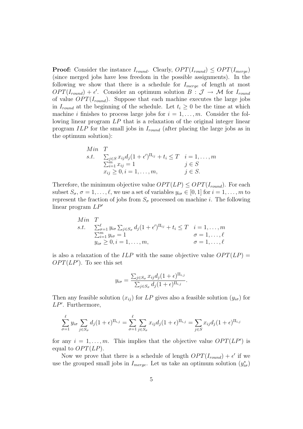**Proof:** Consider the instance  $I_{round.}$  Clearly,  $OPT(I_{round}) \leq OPT(I_{merge})$ (since merged jobs have less freedom in the possible assignments). In the following we show that there is a schedule for  $I_{merge}$  of length at most  $OPT(I_{round}) + \epsilon'$ . Consider an optimum solution  $B: \mathcal{J} \to \mathcal{M}$  for  $I_{round}$ of value  $OPT(I_{round})$ . Suppose that each machine executes the large jobs in  $I_{round}$  at the beginning of the schedule. Let  $t_i \geq 0$  be the time at which machine i finishes to process large jobs for  $i = 1, \ldots, m$ . Consider the following linear program LP that is a relaxation of the original integer linear program ILP for the small jobs in  $I_{round}$  (after placing the large jobs as in the optimum solution):

Min T  
\ns.t. 
$$
\sum_{j \in S} x_{ij} d_j (1 + \epsilon')^{\Pi_{ij}} + t_i \leq T \quad i = 1, ..., m
$$

$$
\sum_{i=1}^m x_{ij} = 1 \qquad j \in S
$$

$$
x_{ij} \geq 0, i = 1, ..., m, \qquad j \in S.
$$

Therefore, the minimum objective value  $OPT(LP) \leq OPT(I_{round})$ . For each subset  $S_{\sigma}$ ,  $\sigma = 1, \ldots, \ell$ , we use a set of variables  $y_{i\sigma} \in [0, 1]$  for  $i = 1, \ldots, m$  to represent the fraction of jobs from  $S_{\sigma}$  processed on machine *i*. The following linear program LP′

$$
\begin{array}{ll}\nMin & T \\
\text{s.t.} & \sum_{\sigma=1}^{\ell} y_{i\sigma} \sum_{j \in S_{\sigma}} d_j (1 + \epsilon')^{\Pi_{ij}} + t_i \le T & i = 1, \dots, m \\
& \sum_{i=1}^{m} y_{i\sigma} = 1 & \sigma = 1, \dots, \ell \\
y_{i\sigma} \ge 0, i = 1, \dots, m, & \sigma = 1, \dots, \ell\n\end{array}
$$

is also a relaxation of the ILP with the same objective value  $OPT(LP) =$  $OPT(LP')$ . To see this set

$$
y_{i\sigma} = \frac{\sum_{j \in S_{\sigma}} x_{ij} d_j (1 + \epsilon)^{\Pi_{i,j}}}{\sum_{j \in S_{\sigma}} d_j (1 + \epsilon)^{\Pi_{i,j}}}.
$$

Then any feasible solution  $(x_{ij})$  for LP gives also a feasible solution  $(y_{i\sigma})$  for LP′ . Furthermore,

$$
\sum_{\sigma=1}^{\ell} y_{i\sigma} \sum_{j \in S_{\sigma}} d_j (1+\epsilon)^{\Pi_{i,j}} = \sum_{\sigma=1}^{\ell} \sum_{j \in S_{\sigma}} x_{ij} d_j (1+\epsilon)^{\Pi_{i,j}} = \sum_{j \in S} x_{ij} d_j (1+\epsilon)^{\Pi_{i,j}}
$$

for any  $i = 1, \ldots, m$ . This implies that the objective value  $OPT(LP')$  is equal to  $OPT(LP)$ .

Now we prove that there is a schedule of length  $OPT(I_{round}) + \epsilon'$  if we use the grouped small jobs in  $I_{merge}$ . Let us take an optimum solution  $(y_{i\sigma}^*)$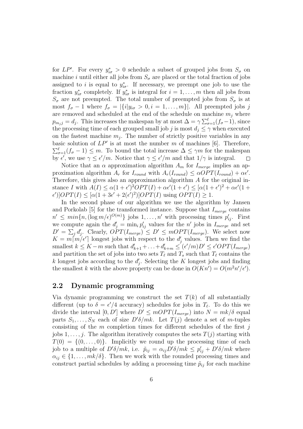for  $LP'$ . For every  $y_{i\sigma}^* > 0$  schedule a subset of grouped jobs from  $S_{\sigma}$  on machine i until either all jobs from  $S_{\sigma}$  are placed or the total fraction of jobs assigned to i is equal to  $y_{i\sigma}^*$ . If necessary, we preempt one job to use the fraction  $y_{i\sigma}^*$  completely. If  $y_{i\sigma}^*$  is integral for  $i = 1, \ldots, m$  then all jobs from  $S_{\sigma}$  are not preempted. The total number of preempted jobs from  $S_{\sigma}$  is at most  $f_{\sigma} - 1$  where  $f_{\sigma} = |\{i|y_{i\sigma} > 0, i = 1, ..., m\}|$ . All preempted jobs j are removed and scheduled at the end of the schedule on machine  $m_i$  where  $p_{m_j j} = d_j$ . This increases the makespan by at most  $\Delta = \gamma \sum_{\sigma=1}^{\ell} (f_{\sigma} - 1)$ , since the processing time of each grouped small job j is most  $d_j \leq \gamma$  when executed on the fastest machine  $m_j$ . The number of strictly positive variables in any basic solution of  $LP'$  is at most the number m of machines [6]. Therefore,  $\sum_{\sigma=1}^{\ell} (f_{\sigma} - 1) \leq m$ . To bound the total increase  $\Delta \leq \gamma m$  for the makespan by  $\epsilon'$ , we use  $\gamma \leq \epsilon'/m$ . Notice that  $\gamma \leq \epsilon'/m$  and that  $1/\gamma$  is integral.  $\Box$ 

Notice that an  $\alpha$  approximation algorithm  $A_m$  for  $I_{merge}$  implies an approximation algorithm  $A_r$  for  $I_{round}$  with  $A_r(I_{round}) \leq \alpha OPT(I_{round}) + \alpha \epsilon'$ . Therefore, this gives also an approximation algorithm A for the original instance I with  $A(I) \le \alpha(1+\epsilon')^2 OPT(I) + \alpha \epsilon'(1+\epsilon') \le [\alpha(1+\epsilon')^2 + \alpha \epsilon'(1+\epsilon')$  $\epsilon'$ ] $OPT(I) \leq [\alpha(1+3\epsilon'+2(\epsilon')^2)]OPT(I)$  using  $OPT(I) \geq 1$ .

In the second phase of our algorithm we use the algorithm by Jansen and Porkolab [5] for the transformed instance. Suppose that  $I_{merge}$  contains  $n' \leq min\{n, (\log m/\epsilon)^{O(m)}\}$  jobs  $1, \ldots, n'$  with processing times  $p'_{ij}$ . First we compute again the  $d'_j = \min_i p'_{ij}$  values for the n' jobs in  $I_{merge}$  and set  $D' = \sum_j d'_j$  $j'$ . Clearly,  $\overrightarrow{OPT}(I_{merge}) \leq D' \leq mOPT(I_{merge})$ . We select now  $K = m\overline{m}/\epsilon'$  longest jobs with respect to the  $d'_j$  values. Then we find the smallest  $k \leq K-m$  such that  $d'_{k+1} + \ldots + d'_{k+m} \leq (\epsilon'/m)D' \leq \epsilon'OPT(I_{merge})$ and partition the set of jobs into two sets  $T_{\ell}$  and  $T_s$  such that  $T_{\ell}$  contains the k longest jobs according to the  $d'$  $'_{j}$ . Selecting the K longest jobs and finding the smallest k with the above property can be done in  $O(Kn') = O(m^2n'/\epsilon').$ 

#### 2.2 Dynamic programming

Via dynamic programming we construct the set  $T(k)$  of all substantially different (up to  $\delta = \epsilon'/4$  accuracy) schedules for jobs in  $T_{\ell}$ . To do this we divide the interval  $[0, D']$  where  $D' \leq mOPT(I_{merge})$  into  $N = mk/\delta$  equal parts  $S_1, \ldots, S_N$  each of size  $D'\delta/mk$ . Let  $T(j)$  denote a set of m-tuples consisting of the  $m$  completion times for different schedules of the first  $j$ jobs 1, ..., *j*. The algorithm iteratively computes the sets  $T(j)$  starting with  $T(0) = \{(0, \ldots, 0)\}.$  Implicitly we round up the processing time of each job to a multiple of  $D'\delta/mk$ , i.e.  $\tilde{p}_{ij} = \alpha_{ij}D'\delta/mk \leq p'_{ij} + D'\delta/mk$  where  $\alpha_{ij} \in \{1, \ldots, mk/\delta\}$ . Then we work with the rounded processing times and construct partial schedules by adding a processing time  $\tilde{p}_{ij}$  for each machine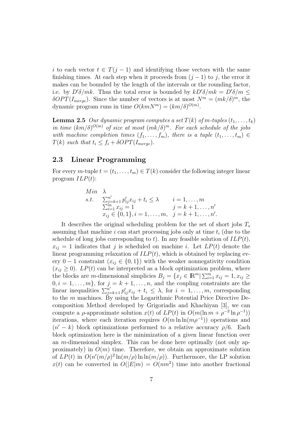i to each vector  $t \in T(j-1)$  and identifying those vectors with the same finishing times. At each step when it proceeds from  $(j - 1)$  to j, the error it makes can be bounded by the length of the intervals or the rounding factor, i.e. by  $D'\delta/mk$ . Thus the total error is bounded by  $kD'\delta/mk = D'\delta/m \leq$  $\delta OPT(I_{merge})$ . Since the number of vectors is at most  $N^m = (mk/\delta)^m$ , the dynamic program runs in time  $O(kmN^m) = (km/\delta)^{O(m)}$ .

**Lemma 2.5** Our dynamic program computes a set  $T(k)$  of m-tuples  $(t_1, \ldots, t_k)$ in time  $(km/\delta)^{O(m)}$  of size at most  $(mk/\delta)^m$ . For each schedule of the jobs with machine completion times  $(f_1, \ldots, f_m)$ , there is a tuple  $(t_1, \ldots, t_m) \in$  $T(k)$  such that  $t_i \leq f_i + \delta OPT(I_{merge}).$ 

#### 2.3 Linear Programming

For every m-tuple  $t = (t_1, \ldots, t_m) \in T(k)$  consider the following integer linear program  $ILP(t)$ :

Min 
$$
\lambda
$$
  
\ns.t.  $\sum_{j=k+1}^{n'} p'_{ij} x_{ij} + t_i \le \lambda$   $i = 1,..., m$   
\n $\sum_{i=1}^{m} x_{ij} = 1$   $j = k+1,..., n'$   
\n $x_{ij} \in \{0, 1\}, i = 1, ..., m, j = k+1, ..., n'.$ 

It describes the original scheduling problem for the set of short jobs  $T_s$ assuming that machine i can start processing jobs only at time  $t_i$  (due to the schedule of long jobs corresponding to t). In any feasible solution of  $ILP(t)$ ,  $x_{ij} = 1$  indicates that j is scheduled on machine i. Let  $LP(t)$  denote the linear programming relaxation of  $ILP(t)$ , which is obtained by replacing every 0 − 1 constraint  $(x_{ij} \in \{0, 1\})$  with the weaker nonnegativity condition  $(x_{ij} \geq 0)$ .  $LP(t)$  can be interpreted as a block optimization problem, where the blocks are *m*-dimensional simplicies  $B_j = \{x_j \in \mathbb{R}^m | \sum_{i=1}^m x_{ij} = 1, x_{ij} \geq 1\}$  $0, i = 1, \ldots, m$ , for  $j = k + 1, \ldots, n$ , and the coupling constraints are the linear inequalities  $\sum_{j=k+1}^{n'} p'_{ij} x_{ij} + t_i \leq \lambda$ , for  $i = 1, ..., m$ , corresponding to the m machines. By using the Logarithmic Potential Price Directive Decomposition Method developed by Grigoriadis and Khachiyan [3], we can compute a  $\rho$ -approximate solution  $x(t)$  of  $LP(t)$  in  $O(m(\ln m + \rho^{-2} \ln \rho^{-1}))$ iterations, where each iteration requires  $O(m \ln \ln(m \rho^{-1}))$  operations and  $(n'-k)$  block optimizations performed to a relative accuracy  $\rho/6$ . Each block optimization here is the minimization of a given linear function over an m-dimensional simplex. This can be done here optimally (not only approximately) in  $O(m)$  time. Therefore, we obtain an approximate solution of  $LP(t)$  in  $O(n'(m/\rho)^2 \ln(m/\rho))$  ln  $\ln(m/\rho)$ . Furthermore, the LP solution  $x(t)$  can be converted in  $O(|E|m) = O(nm^2)$  time into another fractional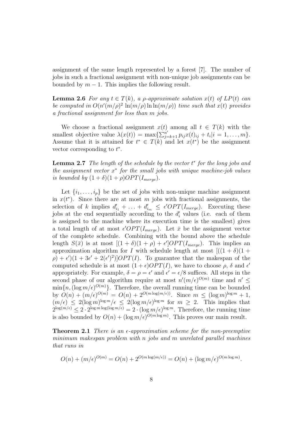assignment of the same length represented by a forest [7]. The number of jobs in such a fractional assignment with non-unique job assignments can be bounded by  $m - 1$ . This implies the following result.

**Lemma 2.6** For any  $t \in T(k)$ , a *ρ*-approximate solution  $x(t)$  of  $LP(t)$  can be computed in  $O(n'(m/\rho)^2 \ln(m/\rho))$  ln  $\ln(m/\rho))$  time such that  $x(t)$  provides a fractional assignment for less than m jobs.

We choose a fractional assignment  $x(t)$  among all  $t \in T(k)$  with the smallest objective value  $\lambda(x(t)) = \max\{\sum_{j=k+1}^{n'} p_{ij}x(t)_{ij} + t_i|i=1,\ldots,m\}.$ Assume that it is attained for  $t^* \in T(k)$  and let  $x(t^*)$  be the assignment vector corresponding to  $t^*$ .

**Lemma 2.7** The length of the schedule by the vector  $t^*$  for the long jobs and the assignment vector  $x^*$  for the small jobs with unique machine-job values is bounded by  $(1 + \delta)(1 + \rho)OPT(I_{merge}).$ 

Let  $\{i_1, \ldots, i_p\}$  be the set of jobs with non-unique machine assignment in  $x(t^*)$ . Since there are at most m jobs with fractional assignments, the selection of k implies  $d'_{i_1} + \ldots + d'_{i_m} \leq \epsilon' OPT(I_{merge})$ . Executing these jobs at the end sequentially according to the  $d_i'$  values (i.e. each of them is assigned to the machine where its execution time is the smallest) gives a total length of at most  $\epsilon'OPT(I_{merge})$ . Let  $\bar{x}$  be the assignment vector of the complete schedule. Combining with the bound above the schedule length  $S(\bar{x})$  is at most  $[(1 + \delta)(1 + \rho) + \epsilon']OPT(I_{merge})$ . This implies an approximation algorithm for I with schedule length at most  $[(1 + \delta)(1 +$  $(\rho) + \epsilon'$ )(1 + 3 $\epsilon'$  + 2( $\epsilon'$ )<sup>2</sup>)]OPT(I). To guarantee that the makespan of the computed schedule is at most  $(1 + \epsilon)OPT(I)$ , we have to choose  $\rho$ ,  $\delta$  and  $\epsilon'$ appropriately. For example,  $\delta = \rho = \epsilon'$  and  $\epsilon' = \epsilon/8$  suffices. All steps in the second phase of our algorithm require at most  $n'(m/\epsilon)^{O(m)}$  time and  $n' \leq$  $\min\{n, (\log m/\epsilon)^{O(m)}\}.$  Therefore, the overall running time can be bounded by  $O(n) + (m/\epsilon)^{O(m)} = O(n) + 2^{O(m \log(m/\epsilon))}$ . Since  $m \leq (\log m)^{\log m} + 1$ ,  $(m/\epsilon) \leq 2(\log m)^{\log m}/\epsilon \leq 2(\log m/\epsilon)^{\log m}$  for  $m \geq 2$ . This implies that  $2^{\log(m/\epsilon)} \leq 2 \cdot 2^{\log m \log(\log m/\epsilon)} = 2 \cdot (\log m/\epsilon)^{\log m}$ . Therefore, the running time is also bounded by  $O(n) + (\log m/\epsilon)^{O(m \log m)}$ . This proves our main result.

**Theorem 2.1** There is an  $\epsilon$ -approximation scheme for the non-preemptive minimum makespan problem with  $n$  jobs and  $m$  unrelated parallel machines that runs in

$$
O(n) + (m/\epsilon)^{O(m)} = O(n) + 2^{O(m \log(m/\epsilon))} = O(n) + (\log m/\epsilon)^{O(m \log m)}.
$$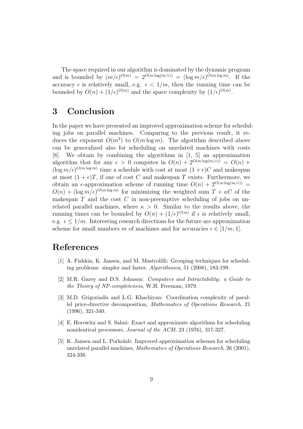The space required in our algorithm is dominated by the dynamic program and is bounded by  $(m/\epsilon)^{O(m)} = 2^{O(m \log(m/\epsilon))} = (\log m/\epsilon)^{O(m \log m)}$ . If the accuracy  $\epsilon$  is relatively small, e.g.  $\epsilon < 1/m$ , then the running time can be bounded by  $O(n) + (1/\epsilon)^{O(m)}$  and the space complexity by  $(1/\epsilon)^{O(m)}$ .

## 3 Conclusion

In the paper we have presented an improved approximation scheme for scheduling jobs on parallel machines. Comparing to the previous result, it reduces the exponent  $O(m^2)$  to  $O(m \log m)$ . The algorithm described above can be generalized also for scheduling on unrelated machines with costs [8]. We obtain by combining the algorithms in [1, 5] an approximation algorithm that for any  $\epsilon > 0$  computes in  $O(n) + 2^{O(m \log(m/\epsilon))} = O(n) +$  $(\log m/\epsilon)^{O(m \log m)}$  time a schedule with cost at most  $(1+\epsilon)C$  and makespan at most  $(1 + \epsilon)T$ , if one of cost C and makespan T exists. Furthermore, we obtain an  $\epsilon$ -approximation scheme of running time  $O(n) + 2^{O(m \log(m/\epsilon))}$  $O(n) + (\log m/\epsilon)^{O(m \log m)}$  for minimizing the weighted sum  $T + \kappa C$  of the makespan  $T$  and the cost  $C$  in non-preemptive scheduling of jobs on unrelated parallel machines, where  $\kappa > 0$ . Similar to the results above, the running times can be bounded by  $O(n) + (1/\epsilon)^{O(m)}$  if  $\epsilon$  is relatively small, e.g.  $\epsilon \leq 1/m$ . Interesting research directions for the future are approximation scheme for small numbers m of machines and for accuracies  $\epsilon \in [1/m, 1]$ .

### References

- [1] A. Fishkin, K. Jansen, and M. Mastrolilli: Grouping techniques for scheduling problems: simpler and faster, Algorithmica, 51 (2008), 183-199.
- [2] M.R. Garey and D.S. Johnson: Computers and Intractability: a Guide to the Theory of NP-completeness, W.H. Freeman, 1979.
- [3] M.D. Grigoriadis and L.G. Khachiyan: Coordination complexity of parallel price-directive decomposition, Mathematics of Operations Research, 21 (1996), 321-340.
- [4] E. Horowitz and S. Sahni: Exact and approximate algorithms for scheduling nonidentical processors, Journal of the ACM, 23 (1976), 317-327.
- [5] K. Jansen and L. Porkolab: Improved approximation schemes for scheduling unrelated parallel machines, Mathematics of Operations Research, 26 (2001), 324-338.